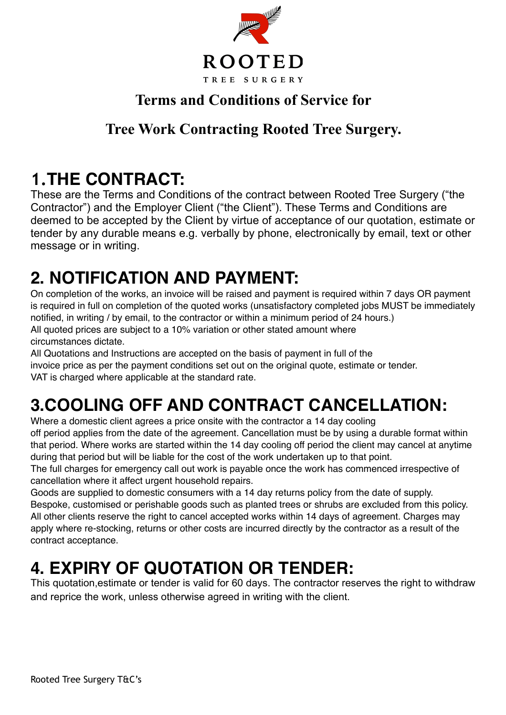

#### **Terms and Conditions of Service for**

#### **Tree Work Contracting Rooted Tree Surgery.**

#### **1.THE CONTRACT:**

These are the Terms and Conditions of the contract between Rooted Tree Surgery ("the Contractor") and the Employer Client ("the Client"). These Terms and Conditions are deemed to be accepted by the Client by virtue of acceptance of our quotation, estimate or tender by any durable means e.g. verbally by phone, electronically by email, text or other message or in writing.

# **2. NOTIFICATION AND PAYMENT:**

On completion of the works, an invoice will be raised and payment is required within 7 days OR payment is required in full on completion of the quoted works (unsatisfactory completed jobs MUST be immediately notified, in writing / by email, to the contractor or within a minimum period of 24 hours.) All quoted prices are subject to a 10% variation or other stated amount where circumstances dictate.

All Quotations and Instructions are accepted on the basis of payment in full of the invoice price as per the payment conditions set out on the original quote, estimate or tender. VAT is charged where applicable at the standard rate.

# **3.COOLING OFF AND CONTRACT CANCELLATION:**

Where a domestic client agrees a price onsite with the contractor a 14 day cooling off period applies from the date of the agreement. Cancellation must be by using a durable format within that period. Where works are started within the 14 day cooling off period the client may cancel at anytime during that period but will be liable for the cost of the work undertaken up to that point.

The full charges for emergency call out work is payable once the work has commenced irrespective of cancellation where it affect urgent household repairs.

Goods are supplied to domestic consumers with a 14 day returns policy from the date of supply. Bespoke, customised or perishable goods such as planted trees or shrubs are excluded from this policy. All other clients reserve the right to cancel accepted works within 14 days of agreement. Charges may apply where re-stocking, returns or other costs are incurred directly by the contractor as a result of the contract acceptance.

#### **4. EXPIRY OF QUOTATION OR TENDER:**

This quotation,estimate or tender is valid for 60 days. The contractor reserves the right to withdraw and reprice the work, unless otherwise agreed in writing with the client.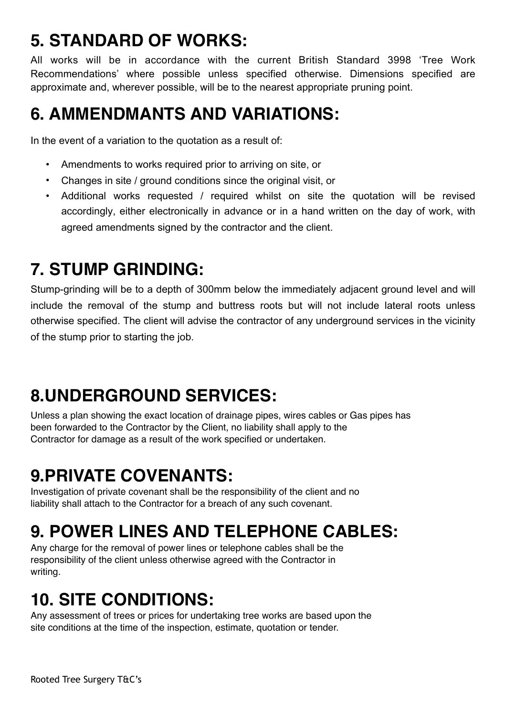# **5. STANDARD OF WORKS:**

All works will be in accordance with the current British Standard 3998 'Tree Work Recommendations' where possible unless specified otherwise. Dimensions specified are approximate and, wherever possible, will be to the nearest appropriate pruning point.

## **6. AMMENDMANTS AND VARIATIONS:**

In the event of a variation to the quotation as a result of:

- Amendments to works required prior to arriving on site, or
- Changes in site / ground conditions since the original visit, or
- Additional works requested / required whilst on site the quotation will be revised accordingly, either electronically in advance or in a hand written on the day of work, with agreed amendments signed by the contractor and the client.

#### **7. STUMP GRINDING:**

Stump-grinding will be to a depth of 300mm below the immediately adjacent ground level and will include the removal of the stump and buttress roots but will not include lateral roots unless otherwise specified. The client will advise the contractor of any underground services in the vicinity of the stump prior to starting the job.

## **8.UNDERGROUND SERVICES:**

Unless a plan showing the exact location of drainage pipes, wires cables or Gas pipes has been forwarded to the Contractor by the Client, no liability shall apply to the Contractor for damage as a result of the work specified or undertaken.

## **9.PRIVATE COVENANTS:**

Investigation of private covenant shall be the responsibility of the client and no liability shall attach to the Contractor for a breach of any such covenant.

## **9. POWER LINES AND TELEPHONE CABLES:**

Any charge for the removal of power lines or telephone cables shall be the responsibility of the client unless otherwise agreed with the Contractor in writing.

## **10. SITE CONDITIONS:**

Any assessment of trees or prices for undertaking tree works are based upon the site conditions at the time of the inspection, estimate, quotation or tender.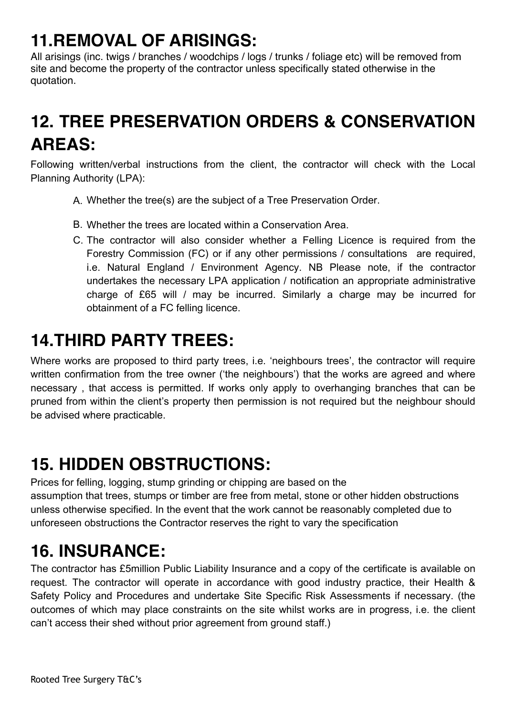#### **11.REMOVAL OF ARISINGS:**

All arisings (inc. twigs / branches / woodchips / logs / trunks / foliage etc) will be removed from site and become the property of the contractor unless specifically stated otherwise in the quotation.

#### **12. TREE PRESERVATION ORDERS & CONSERVATION AREAS:**

Following written/verbal instructions from the client, the contractor will check with the Local Planning Authority (LPA):

- A. Whether the tree(s) are the subject of a Tree Preservation Order.
- B. Whether the trees are located within a Conservation Area.
- C. The contractor will also consider whether a Felling Licence is required from the Forestry Commission (FC) or if any other permissions / consultations are required, i.e. Natural England / Environment Agency. NB Please note, if the contractor undertakes the necessary LPA application / notification an appropriate administrative charge of £65 will / may be incurred. Similarly a charge may be incurred for obtainment of a FC felling licence.

#### **14.THIRD PARTY TREES:**

Where works are proposed to third party trees, i.e. 'neighbours trees', the contractor will require written confirmation from the tree owner ('the neighbours') that the works are agreed and where necessary , that access is permitted. If works only apply to overhanging branches that can be pruned from within the client's property then permission is not required but the neighbour should be advised where practicable.

#### **15. HIDDEN OBSTRUCTIONS:**

Prices for felling, logging, stump grinding or chipping are based on the assumption that trees, stumps or timber are free from metal, stone or other hidden obstructions unless otherwise specified. In the event that the work cannot be reasonably completed due to unforeseen obstructions the Contractor reserves the right to vary the specification

#### **16. INSURANCE:**

The contractor has £5million Public Liability Insurance and a copy of the certificate is available on request. The contractor will operate in accordance with good industry practice, their Health & Safety Policy and Procedures and undertake Site Specific Risk Assessments if necessary. (the outcomes of which may place constraints on the site whilst works are in progress, i.e. the client can't access their shed without prior agreement from ground staff.)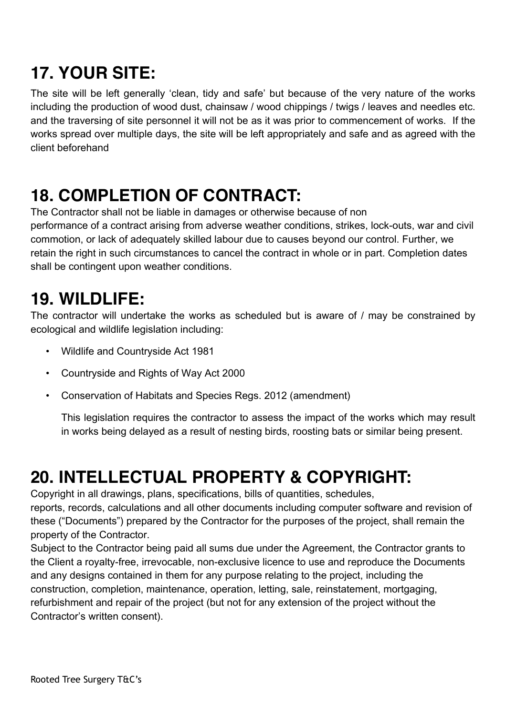# **17. YOUR SITE:**

The site will be left generally 'clean, tidy and safe' but because of the very nature of the works including the production of wood dust, chainsaw / wood chippings / twigs / leaves and needles etc. and the traversing of site personnel it will not be as it was prior to commencement of works. If the works spread over multiple days, the site will be left appropriately and safe and as agreed with the client beforehand

#### **18. COMPLETION OF CONTRACT:**

The Contractor shall not be liable in damages or otherwise because of non performance of a contract arising from adverse weather conditions, strikes, lock-outs, war and civil commotion, or lack of adequately skilled labour due to causes beyond our control. Further, we retain the right in such circumstances to cancel the contract in whole or in part. Completion dates shall be contingent upon weather conditions.

#### **19. WILDLIFE:**

The contractor will undertake the works as scheduled but is aware of / may be constrained by ecological and wildlife legislation including:

- Wildlife and Countryside Act 1981
- Countryside and Rights of Way Act 2000
- Conservation of Habitats and Species Regs. 2012 (amendment)

This legislation requires the contractor to assess the impact of the works which may result in works being delayed as a result of nesting birds, roosting bats or similar being present.

#### **20. INTELLECTUAL PROPERTY & COPYRIGHT:**

Copyright in all drawings, plans, specifications, bills of quantities, schedules,

reports, records, calculations and all other documents including computer software and revision of these ("Documents") prepared by the Contractor for the purposes of the project, shall remain the property of the Contractor.

Subject to the Contractor being paid all sums due under the Agreement, the Contractor grants to the Client a royalty-free, irrevocable, non-exclusive licence to use and reproduce the Documents and any designs contained in them for any purpose relating to the project, including the construction, completion, maintenance, operation, letting, sale, reinstatement, mortgaging, refurbishment and repair of the project (but not for any extension of the project without the Contractor's written consent).